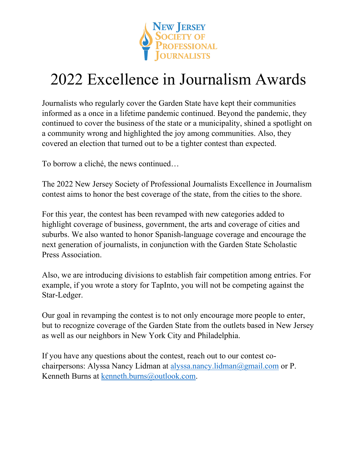

# 2022 Excellence in Journalism Awards

Journalists who regularly cover the Garden State have kept their communities informed as a once in a lifetime pandemic continued. Beyond the pandemic, they continued to cover the business of the state or a municipality, shined a spotlight on a community wrong and highlighted the joy among communities. Also, they covered an election that turned out to be a tighter contest than expected.

To borrow a cliché, the news continued…

The 2022 New Jersey Society of Professional Journalists Excellence in Journalism contest aims to honor the best coverage of the state, from the cities to the shore.

For this year, the contest has been revamped with new categories added to highlight coverage of business, government, the arts and coverage of cities and suburbs. We also wanted to honor Spanish-language coverage and encourage the next generation of journalists, in conjunction with the Garden State Scholastic Press Association.

Also, we are introducing divisions to establish fair competition among entries. For example, if you wrote a story for TapInto, you will not be competing against the Star-Ledger.

Our goal in revamping the contest is to not only encourage more people to enter, but to recognize coverage of the Garden State from the outlets based in New Jersey as well as our neighbors in New York City and Philadelphia.

If you have any questions about the contest, reach out to our contest cochairpersons: Alyssa Nancy Lidman at [alyssa.nancy.lidman@gmail.com](mailto:alyssa.nancy.lidman@gmail.com) or P. Kenneth Burns at [kenneth.burns@outlook.com.](mailto:kenneth.burns@outlook.com)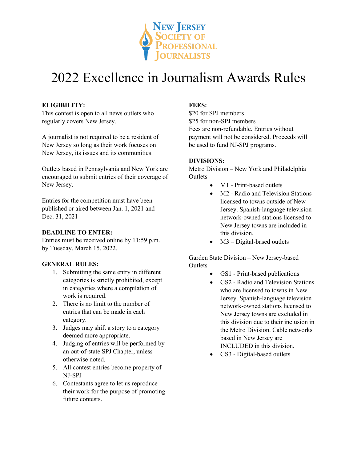

# 2022 Excellence in Journalism Awards Rules

## **ELIGIBILITY:**

This contest is open to all news outlets who regularly covers New Jersey.

A journalist is not required to be a resident of New Jersey so long as their work focuses on New Jersey, its issues and its communities.

Outlets based in Pennsylvania and New York are encouraged to submit entries of their coverage of New Jersey.

Entries for the competition must have been published or aired between Jan. 1, 2021 and Dec. 31, 2021

## **DEADLINE TO ENTER:**

Entries must be received online by 11:59 p.m. by Tuesday, March 15, 2022.

## **GENERAL RULES:**

- 1. Submitting the same entry in different categories is strictly prohibited, except in categories where a compilation of work is required.
- 2. There is no limit to the number of entries that can be made in each category.
- 3. Judges may shift a story to a category deemed more appropriate.
- 4. Judging of entries will be performed by an out-of-state SPJ Chapter, unless otherwise noted.
- 5. All contest entries become property of NJ-SPJ
- 6. Contestants agree to let us reproduce their work for the purpose of promoting future contests.

## **FEES:**

\$20 for SPJ members \$25 for non-SPJ members Fees are non-refundable. Entries without payment will not be considered. Proceeds will be used to fund NJ-SPJ programs.

### **DIVISIONS:**

Metro Division – New York and Philadelphia **Outlets** 

- M1 Print-based outlets
- M2 Radio and Television Stations licensed to towns outside of New Jersey. Spanish-language television network-owned stations licensed to New Jersey towns are included in this division.
- $M3 Digital-based outlets$

Garden State Division – New Jersey-based **Outlets** 

- GS1 Print-based publications
- GS2 Radio and Television Stations who are licensed to towns in New Jersey. Spanish-language television network-owned stations licensed to New Jersey towns are excluded in this division due to their inclusion in the Metro Division. Cable networks based in New Jersey are INCLUDED in this division.
- GS3 Digital-based outlets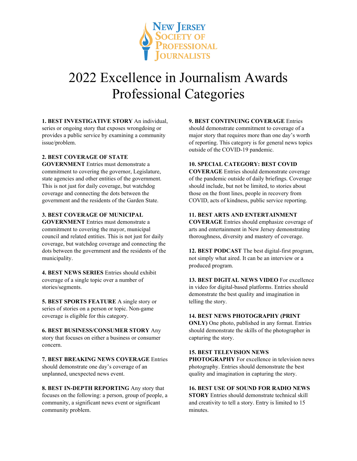

# 2022 Excellence in Journalism Awards Professional Categories

**1. BEST INVESTIGATIVE STORY** An individual, series or ongoing story that exposes wrongdoing or provides a public service by examining a community issue/problem.

### **2. BEST COVERAGE OF STATE**

**GOVERNMENT** Entries must demonstrate a commitment to covering the governor, Legislature, state agencies and other entities of the government. This is not just for daily coverage, but watchdog coverage and connecting the dots between the government and the residents of the Garden State.

### **3. BEST COVERAGE OF MUNICIPAL**

**GOVERNMENT** Entries must demonstrate a commitment to covering the mayor, municipal council and related entities. This is not just for daily coverage, but watchdog coverage and connecting the dots between the government and the residents of the municipality.

**4. BEST NEWS SERIES** Entries should exhibit coverage of a single topic over a number of stories/segments.

**5. BEST SPORTS FEATURE** A single story or series of stories on a person or topic. Non-game coverage is eligible for this category.

**6. BEST BUSINESS/CONSUMER STORY** Any story that focuses on either a business or consumer concern.

**7. BEST BREAKING NEWS COVERAGE** Entries should demonstrate one day's coverage of an unplanned, unexpected news event.

**8. BEST IN-DEPTH REPORTING** Any story that focuses on the following: a person, group of people, a community, a significant news event or significant community problem.

**9. BEST CONTINUING COVERAGE** Entries should demonstrate commitment to coverage of a

major story that requires more than one day's worth of reporting. This category is for general news topics outside of the COVID-19 pandemic.

### **10. SPECIAL CATEGORY: BEST COVID**

**COVERAGE** Entries should demonstrate coverage of the pandemic outside of daily briefings. Coverage should include, but not be limited, to stories about those on the front lines, people in recovery from COVID, acts of kindness, public service reporting.

### **11. BEST ARTS AND ENTERTAINMENT**

**COVERAGE** Entries should emphasize coverage of arts and entertainment in New Jersey demonstrating thoroughness, diversity and mastery of coverage.

**12. BEST PODCAST** The best digital-first program, not simply what aired. It can be an interview or a produced program.

**13. BEST DIGITAL NEWS VIDEO** For excellence in video for digital-based platforms. Entries should demonstrate the best quality and imagination in telling the story.

### **14. BEST NEWS PHOTOGRAPHY (PRINT**

**ONLY)** One photo, published in any format. Entries should demonstrate the skills of the photographer in capturing the story.

### **15. BEST TELEVISION NEWS**

**PHOTOGRAPHY** For excellence in television news photography. Entries should demonstrate the best quality and imagination in capturing the story.

**16. BEST USE OF SOUND FOR RADIO NEWS** 

**STORY** Entries should demonstrate technical skill and creativity to tell a story. Entry is limited to 15 minutes.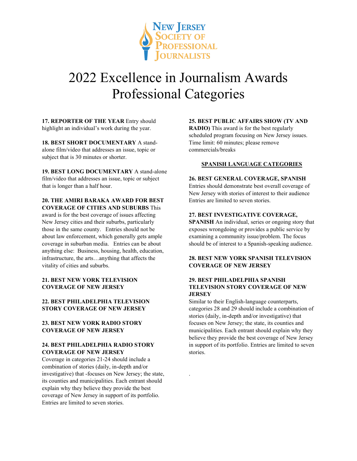

# 2022 Excellence in Journalism Awards Professional Categories

.

**17. REPORTER OF THE YEAR** Entry should highlight an individual's work during the year.

**18. BEST SHORT DOCUMENTARY** A standalone film/video that addresses an issue, topic or subject that is 30 minutes or shorter.

**19. BEST LONG DOCUMENTARY** A stand-alone film/video that addresses an issue, topic or subject that is longer than a half hour.

### **20. THE AMIRI BARAKA AWARD FOR BEST COVERAGE OF CITIES AND SUBURBS** This

award is for the best coverage of issues affecting New Jersey cities and their suburbs, particularly those in the same county. Entries should not be about law enforcement, which generally gets ample coverage in suburban media. Entries can be about anything else: Business, housing, health, education, infrastructure, the arts…anything that affects the vitality of cities and suburbs.

### **21. BEST NEW YORK TELEVISION COVERAGE OF NEW JERSEY**

### **22. BEST PHILADELPHIA TELEVISION STORY COVERAGE OF NEW JERSEY**

### **23. BEST NEW YORK RADIO STORY COVERAGE OF NEW JERSEY**

### **24. BEST PHILADELPHIA RADIO STORY COVERAGE OF NEW JERSEY**

Coverage in categories 21-24 should include a combination of stories (daily, in-depth and/or investigative) that -focuses on New Jersey; the state, its counties and municipalities. Each entrant should explain why they believe they provide the best coverage of New Jersey in support of its portfolio. Entries are limited to seven stories.

### **25. BEST PUBLIC AFFAIRS SHOW (TV AND**

**RADIO)** This award is for the best regularly scheduled program focusing on New Jersey issues. Time limit: 60 minutes; please remove commercials/breaks

### **SPANISH LANGUAGE CATEGORIES**

### **26. BEST GENERAL COVERAGE, SPANISH**

Entries should demonstrate best overall coverage of New Jersey with stories of interest to their audience Entries are limited to seven stories.

#### **27. BEST INVESTIGATIVE COVERAGE,**

**SPANISH** An individual, series or ongoing story that exposes wrongdoing or provides a public service by examining a community issue/problem. The focus should be of interest to a Spanish-speaking audience.

### **28. BEST NEW YORK SPANISH TELEVISION COVERAGE OF NEW JERSEY**

### **29. BEST PHILADELPHIA SPANISH TELEVISION STORY COVERAGE OF NEW JERSEY**

Similar to their English-language counterparts, categories 28 and 29 should include a combination of stories (daily, in-depth and/or investigative) that focuses on New Jersey; the state, its counties and municipalities. Each entrant should explain why they believe they provide the best coverage of New Jersey in support of its portfolio. Entries are limited to seven stories.